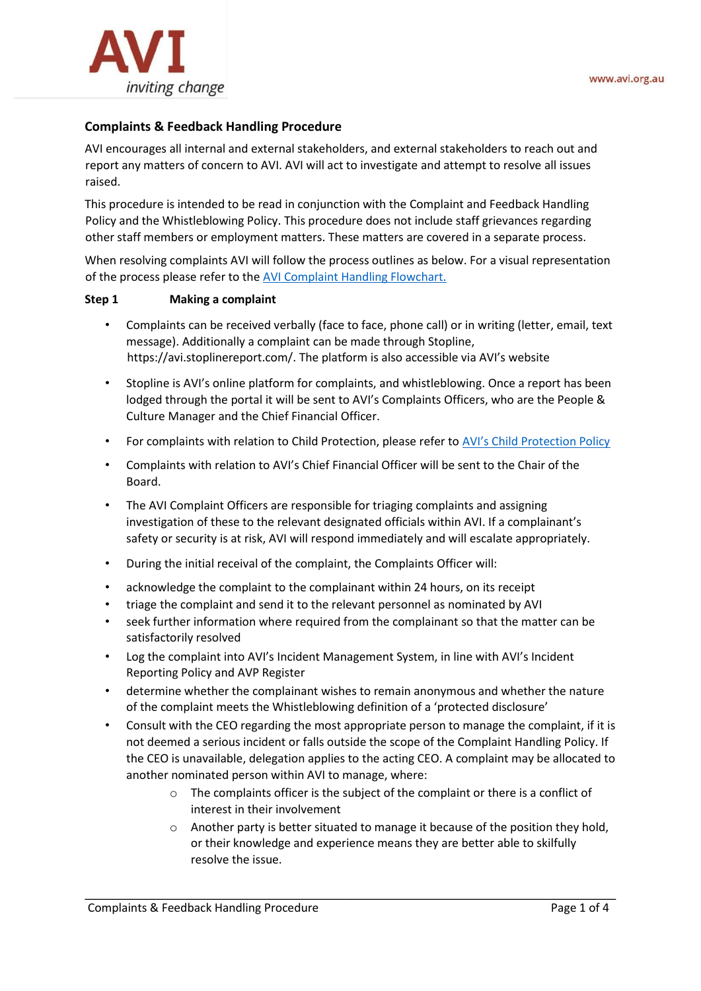

# **Complaints & Feedback Handling Procedure**

AVI encourages all internal and external stakeholders, and external stakeholders to reach out and report any matters of concern to AVI. AVI will act to investigate and attempt to resolve all issues raised.

This procedure is intended to be read in conjunction with the Complaint and Feedback Handling Policy and the Whistleblowing Policy. This procedure does not include staff grievances regarding other staff members or employment matters. These matters are covered in a separate process.

When resolving complaints AVI will follow the process outlines as below. For a visual representation of the process please refer to the [AVI Complaint Handling Flowchart.](https://australianvolunteers.sharepoint.com/:b:/r/sites/Policies/Shared%20Documents/AVI%20Organisational%20Policies/Complaint%20Handling/Complaint%20Handling%20Process%20Flowchart.pdf?csf=1&web=1&e=PQAIe0)

## **Step 1 Making a complaint**

- Complaints can be received verbally (face to face, phone call) or in writing (letter, email, text message). Additionally a complaint can be made through Stopline, [https://avi.stoplinereport.com/.](https://avi.stoplinereport.com/) The platform is also accessible via AVI's website
- Stopline is AVI's online platform for complaints, and whistleblowing. Once a report has been lodged through the portal it will be sent to AVI's Complaints Officers, who are the People & Culture Manager and the Chief Financial Officer.
- For complaints with relation to Child Protection, please refer to [AVI's Child Protection Policy](https://australianvolunteers.sharepoint.com/:b:/s/Policies/Ec7kWAzXtDBAqybLS5-l_v8BoD-nTBwlofyX8dDRzMPWbw?e=o3SJ0K)
- Complaints with relation to AVI's Chief Financial Officer will be sent to the Chair of the Board.
- The AVI Complaint Officers are responsible for triaging complaints and assigning investigation of these to the relevant designated officials within AVI. If a complainant's safety or security is at risk, AVI will respond immediately and will escalate appropriately.
- During the initial receival of the complaint, the Complaints Officer will:
- acknowledge the complaint to the complainant within 24 hours, on its receipt
- triage the complaint and send it to the relevant personnel as nominated by AVI
- seek further information where required from the complainant so that the matter can be satisfactorily resolved
- Log the complaint into AVI's Incident Management System, in line with AVI's Incident Reporting Policy and AVP Register
- determine whether the complainant wishes to remain anonymous and whether the nature of the complaint meets the Whistleblowing definition of a 'protected disclosure'
- Consult with the CEO regarding the most appropriate person to manage the complaint, if it is not deemed a serious incident or falls outside the scope of the Complaint Handling Policy. If the CEO is unavailable, delegation applies to the acting CEO. A complaint may be allocated to another nominated person within AVI to manage, where:
	- $\circ$  The complaints officer is the subject of the complaint or there is a conflict of interest in their involvement
	- $\circ$  Another party is better situated to manage it because of the position they hold, or their knowledge and experience means they are better able to skilfully resolve the issue.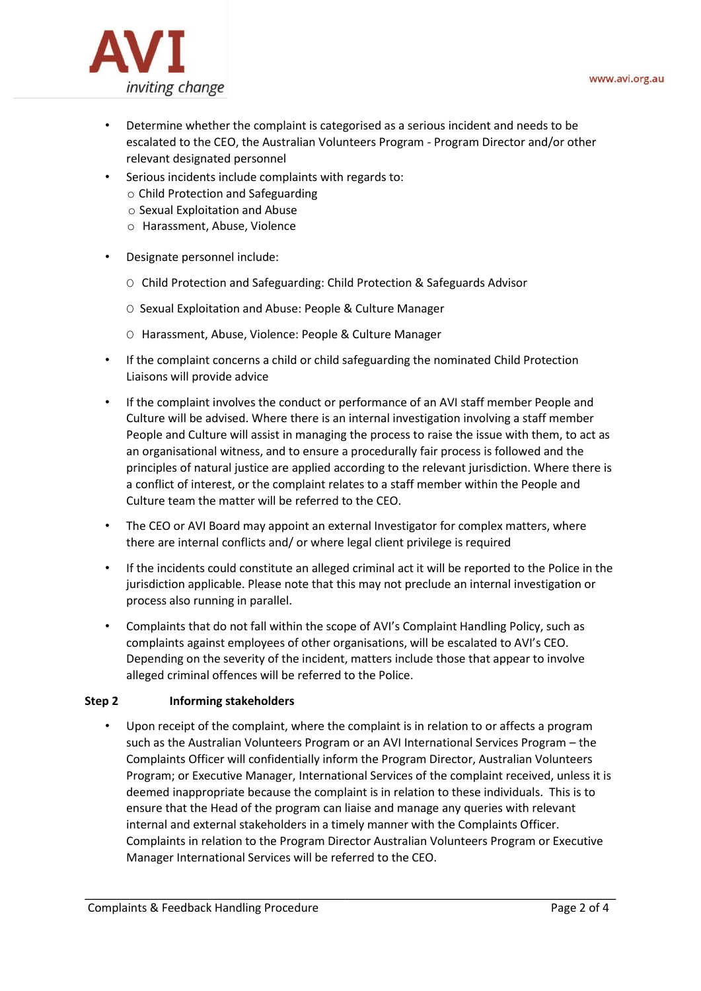

- Determine whether the complaint is categorised as a serious incident and needs to be escalated to the CEO, the Australian Volunteers Program - Program Director and/or other relevant designated personnel
- Serious incidents include complaints with regards to:
	- o Child Protection and Safeguarding
	- o Sexual Exploitation and Abuse
	- o Harassment, Abuse, Violence
- Designate personnel include:
	- O Child Protection and Safeguarding: Child Protection & Safeguards Advisor
	- O Sexual Exploitation and Abuse: People & Culture Manager
	- O Harassment, Abuse, Violence: People & Culture Manager
- If the complaint concerns a child or child safeguarding the nominated Child Protection Liaisons will provide advice
- If the complaint involves the conduct or performance of an AVI staff member People and Culture will be advised. Where there is an internal investigation involving a staff member People and Culture will assist in managing the process to raise the issue with them, to act as an organisational witness, and to ensure a procedurally fair process is followed and the principles of natural justice are applied according to the relevant jurisdiction. Where there is a conflict of interest, or the complaint relates to a staff member within the People and Culture team the matter will be referred to the CEO.
- The CEO or AVI Board may appoint an external Investigator for complex matters, where there are internal conflicts and/ or where legal client privilege is required
- If the incidents could constitute an alleged criminal act it will be reported to the Police in the jurisdiction applicable. Please note that this may not preclude an internal investigation or process also running in parallel.
- Complaints that do not fall within the scope of AVI's Complaint Handling Policy, such as complaints against employees of other organisations, will be escalated to AVI's CEO. Depending on the severity of the incident, matters include those that appear to involve alleged criminal offences will be referred to the Police.

## **Step 2 Informing stakeholders**

• Upon receipt of the complaint, where the complaint is in relation to or affects a program such as the Australian Volunteers Program or an AVI International Services Program – the Complaints Officer will confidentially inform the Program Director, Australian Volunteers Program; or Executive Manager, International Services of the complaint received, unless it is deemed inappropriate because the complaint is in relation to these individuals. This is to ensure that the Head of the program can liaise and manage any queries with relevant internal and external stakeholders in a timely manner with the Complaints Officer. Complaints in relation to the Program Director Australian Volunteers Program or Executive Manager International Services will be referred to the CEO.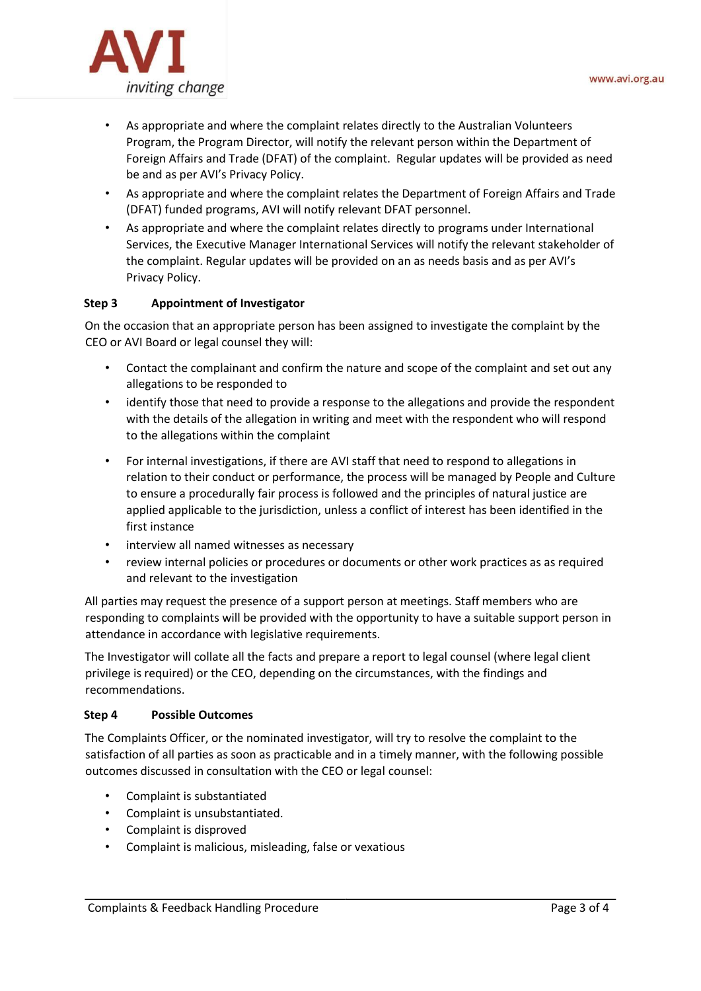

- As appropriate and where the complaint relates directly to the Australian Volunteers Program, the Program Director, will notify the relevant person within the Department of Foreign Affairs and Trade (DFAT) of the complaint. Regular updates will be provided as need be and as per AVI's Privacy Policy.
- As appropriate and where the complaint relates the Department of Foreign Affairs and Trade (DFAT) funded programs, AVI will notify relevant DFAT personnel.
- As appropriate and where the complaint relates directly to programs under International Services, the Executive Manager International Services will notify the relevant stakeholder of the complaint. Regular updates will be provided on an as needs basis and as per AVI's Privacy Policy.

## **Step 3 Appointment of Investigator**

On the occasion that an appropriate person has been assigned to investigate the complaint by the CEO or AVI Board or legal counsel they will:

- Contact the complainant and confirm the nature and scope of the complaint and set out any allegations to be responded to
- identify those that need to provide a response to the allegations and provide the respondent with the details of the allegation in writing and meet with the respondent who will respond to the allegations within the complaint
- For internal investigations, if there are AVI staff that need to respond to allegations in relation to their conduct or performance, the process will be managed by People and Culture to ensure a procedurally fair process is followed and the principles of natural justice are applied applicable to the jurisdiction, unless a conflict of interest has been identified in the first instance
- interview all named witnesses as necessary
- review internal policies or procedures or documents or other work practices as as required and relevant to the investigation

All parties may request the presence of a support person at meetings. Staff members who are responding to complaints will be provided with the opportunity to have a suitable support person in attendance in accordance with legislative requirements.

The Investigator will collate all the facts and prepare a report to legal counsel (where legal client privilege is required) or the CEO, depending on the circumstances, with the findings and recommendations.

## **Step 4 Possible Outcomes**

The Complaints Officer, or the nominated investigator, will try to resolve the complaint to the satisfaction of all parties as soon as practicable and in a timely manner, with the following possible outcomes discussed in consultation with the CEO or legal counsel:

- Complaint is substantiated
- Complaint is unsubstantiated.
- Complaint is disproved
- Complaint is malicious, misleading, false or vexatious